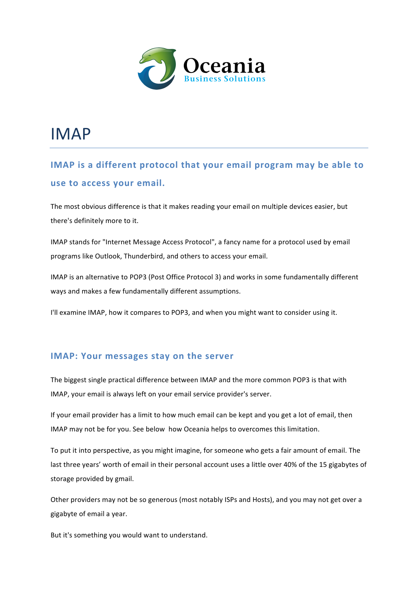

# IMAP

### **IMAP** is a different protocol that your email program may be able to **use to access your email.**

The most obvious difference is that it makes reading your email on multiple devices easier, but there's definitely more to it.

IMAP stands for "Internet Message Access Protocol", a fancy name for a protocol used by email programs like Outlook, Thunderbird, and others to access your email.

IMAP is an alternative to POP3 (Post Office Protocol 3) and works in some fundamentally different ways and makes a few fundamentally different assumptions.

I'll examine IMAP, how it compares to POP3, and when you might want to consider using it.

#### **IMAP: Your messages stay on the server**

The biggest single practical difference between IMAP and the more common POP3 is that with IMAP, your email is always left on your email service provider's server.

If your email provider has a limit to how much email can be kept and you get a lot of email, then IMAP may not be for you. See below how Oceania helps to overcomes this limitation.

To put it into perspective, as you might imagine, for someone who gets a fair amount of email. The last three years' worth of email in their personal account uses a little over 40% of the 15 gigabytes of storage provided by gmail.

Other providers may not be so generous (most notably ISPs and Hosts), and you may not get over a gigabyte of email a year.

But it's something you would want to understand.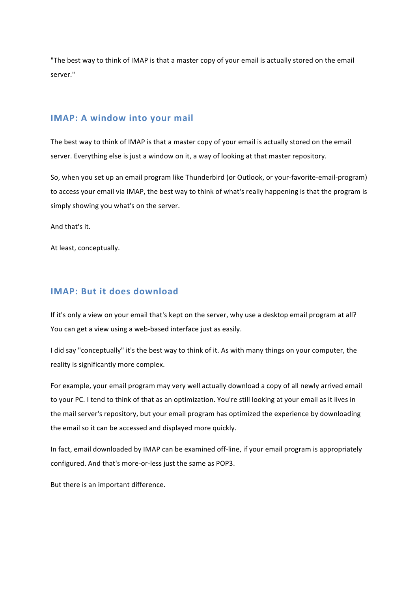"The best way to think of IMAP is that a master copy of your email is actually stored on the email server."

#### **IMAP: A window into your mail**

The best way to think of IMAP is that a master copy of your email is actually stored on the email server. Everything else is just a window on it, a way of looking at that master repository.

So, when you set up an email program like Thunderbird (or Outlook, or your-favorite-email-program) to access your email via IMAP, the best way to think of what's really happening is that the program is simply showing you what's on the server.

And that's it.

At least, conceptually.

#### **IMAP: But it does download**

If it's only a view on your email that's kept on the server, why use a desktop email program at all? You can get a view using a web-based interface just as easily.

I did say "conceptually" it's the best way to think of it. As with many things on your computer, the reality is significantly more complex.

For example, your email program may very well actually download a copy of all newly arrived email to your PC. I tend to think of that as an optimization. You're still looking at your email as it lives in the mail server's repository, but your email program has optimized the experience by downloading the email so it can be accessed and displayed more quickly.

In fact, email downloaded by IMAP can be examined off-line, if your email program is appropriately configured. And that's more-or-less just the same as POP3.

But there is an important difference.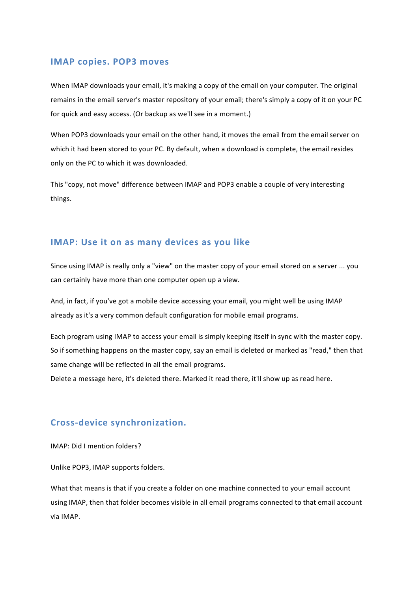#### **IMAP copies. POP3 moves**

When IMAP downloads your email, it's making a copy of the email on your computer. The original remains in the email server's master repository of your email; there's simply a copy of it on your PC for quick and easy access. (Or backup as we'll see in a moment.)

When POP3 downloads your email on the other hand, it moves the email from the email server on which it had been stored to your PC. By default, when a download is complete, the email resides only on the PC to which it was downloaded.

This "copy, not move" difference between IMAP and POP3 enable a couple of very interesting things.

#### **IMAP:** Use it on as many devices as you like

Since using IMAP is really only a "view" on the master copy of your email stored on a server ... you can certainly have more than one computer open up a view.

And, in fact, if you've got a mobile device accessing your email, you might well be using IMAP already as it's a very common default configuration for mobile email programs.

Each program using IMAP to access your email is simply keeping itself in sync with the master copy. So if something happens on the master copy, say an email is deleted or marked as "read," then that same change will be reflected in all the email programs.

Delete a message here, it's deleted there. Marked it read there, it'll show up as read here.

#### **Cross-device synchronization.**

IMAP: Did I mention folders?

Unlike POP3, IMAP supports folders.

What that means is that if you create a folder on one machine connected to your email account using IMAP, then that folder becomes visible in all email programs connected to that email account via IMAP.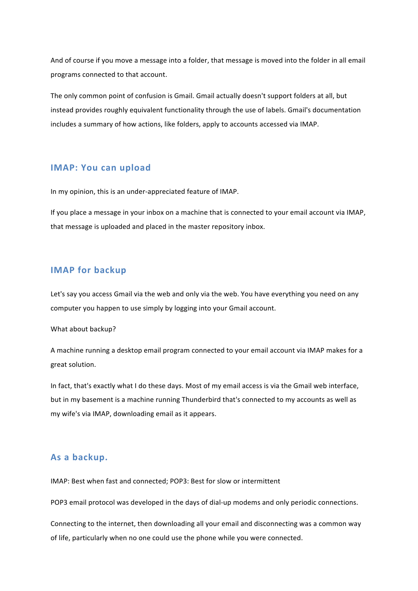And of course if you move a message into a folder, that message is moved into the folder in all email programs connected to that account.

The only common point of confusion is Gmail. Gmail actually doesn't support folders at all, but instead provides roughly equivalent functionality through the use of labels. Gmail's documentation includes a summary of how actions, like folders, apply to accounts accessed via IMAP.

#### **IMAP: You can upload**

In my opinion, this is an under-appreciated feature of IMAP.

If you place a message in your inbox on a machine that is connected to your email account via IMAP, that message is uploaded and placed in the master repository inbox.

#### **IMAP** for backup

Let's say you access Gmail via the web and only via the web. You have everything you need on any computer you happen to use simply by logging into your Gmail account.

What about backup?

A machine running a desktop email program connected to your email account via IMAP makes for a great solution.

In fact, that's exactly what I do these days. Most of my email access is via the Gmail web interface, but in my basement is a machine running Thunderbird that's connected to my accounts as well as my wife's via IMAP, downloading email as it appears.

#### **As a backup.**

IMAP: Best when fast and connected: POP3: Best for slow or intermittent

POP3 email protocol was developed in the days of dial-up modems and only periodic connections.

Connecting to the internet, then downloading all your email and disconnecting was a common way of life, particularly when no one could use the phone while you were connected.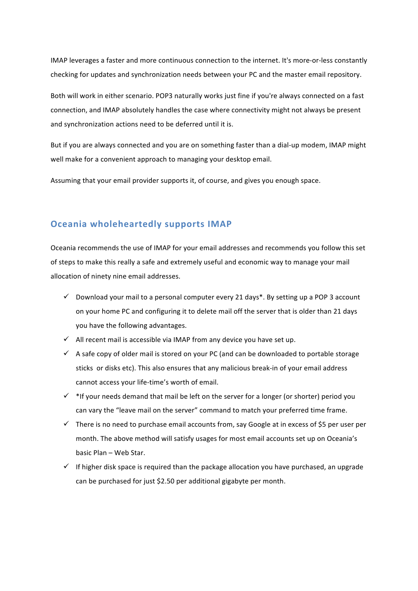IMAP leverages a faster and more continuous connection to the internet. It's more-or-less constantly checking for updates and synchronization needs between your PC and the master email repository.

Both will work in either scenario. POP3 naturally works just fine if you're always connected on a fast connection, and IMAP absolutely handles the case where connectivity might not always be present and synchronization actions need to be deferred until it is.

But if you are always connected and you are on something faster than a dial-up modem, IMAP might well make for a convenient approach to managing your desktop email.

Assuming that your email provider supports it, of course, and gives you enough space.

#### **Oceania wholeheartedly supports IMAP**

Oceania recommends the use of IMAP for your email addresses and recommends you follow this set of steps to make this really a safe and extremely useful and economic way to manage your mail allocation of ninety nine email addresses.

- $\checkmark$  Download your mail to a personal computer every 21 days\*. By setting up a POP 3 account on your home PC and configuring it to delete mail off the server that is older than 21 days you have the following advantages.
- $\checkmark$  All recent mail is accessible via IMAP from any device you have set up.
- $\checkmark$  A safe copy of older mail is stored on your PC (and can be downloaded to portable storage sticks or disks etc). This also ensures that any malicious break-in of your email address cannot access your life-time's worth of email.
- $\checkmark$  \* If your needs demand that mail be left on the server for a longer (or shorter) period you can vary the "leave mail on the server" command to match your preferred time frame.
- $\checkmark$  There is no need to purchase email accounts from, say Google at in excess of \$5 per user per month. The above method will satisfy usages for most email accounts set up on Oceania's basic Plan – Web Star.
- $\checkmark$  If higher disk space is required than the package allocation you have purchased, an upgrade can be purchased for just \$2.50 per additional gigabyte per month.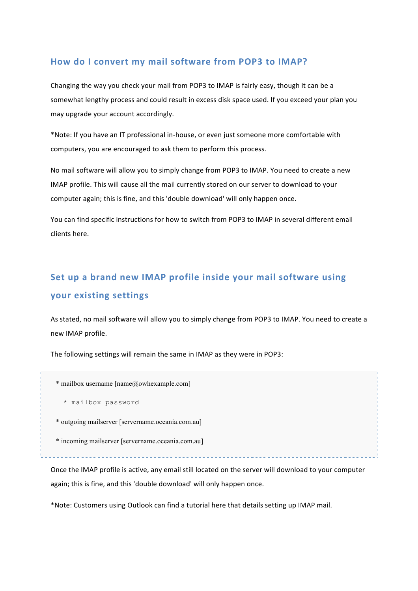#### How do I convert my mail software from POP3 to IMAP?

Changing the way you check your mail from POP3 to IMAP is fairly easy, though it can be a somewhat lengthy process and could result in excess disk space used. If you exceed your plan you may upgrade your account accordingly.

\*Note: If you have an IT professional in-house, or even just someone more comfortable with computers, you are encouraged to ask them to perform this process.

No mail software will allow you to simply change from POP3 to IMAP. You need to create a new IMAP profile. This will cause all the mail currently stored on our server to download to your computer again; this is fine, and this 'double download' will only happen once.

You can find specific instructions for how to switch from POP3 to IMAP in several different email clients here. 

### **Set up a brand new IMAP profile inside your mail software using your existing settings**

As stated, no mail software will allow you to simply change from POP3 to IMAP. You need to create a new IMAP profile.

The following settings will remain the same in IMAP as they were in POP3:

\* mailbox username [name@owhexample.com]

- \* mailbox password
- \* outgoing mailserver [servername.oceania.com.au]
- \* incoming mailserver [servername.oceania.com.au]

Once the IMAP profile is active, any email still located on the server will download to your computer again; this is fine, and this 'double download' will only happen once.

\*Note: Customers using Outlook can find a tutorial here that details setting up IMAP mail.